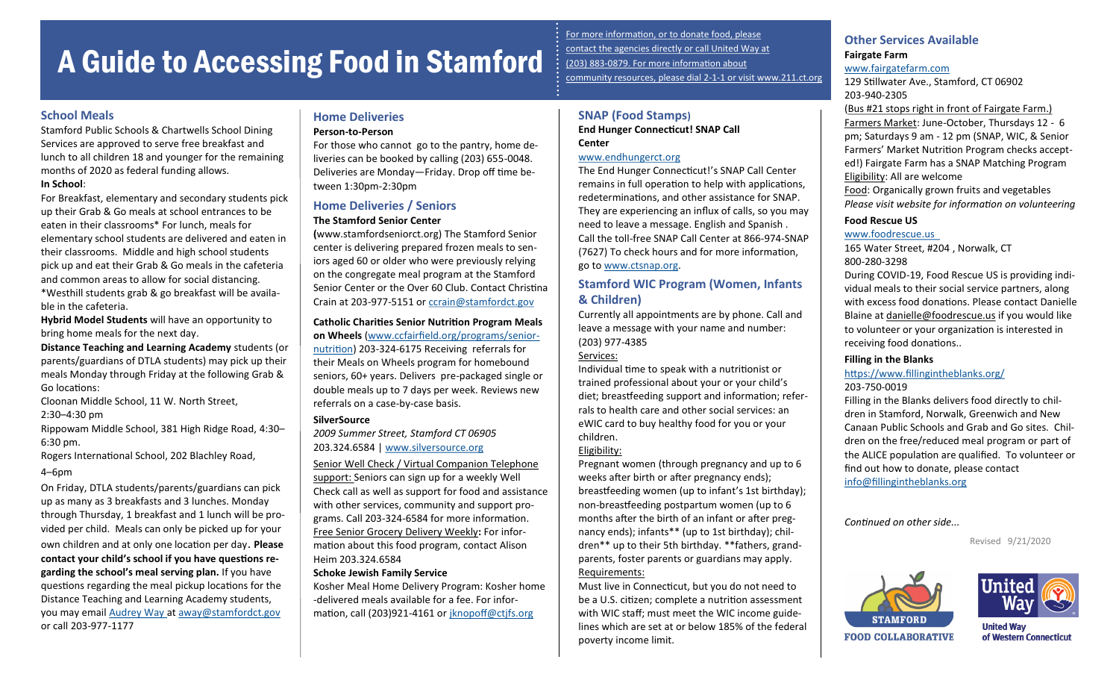# A Guide to Accessing Food in Stamford

### **School Meals**

Stamford Public Schools & Chartwells School Dining Services are approved to serve free breakfast and lunch to all children 18 and younger for the remaining months of 2020 as federal funding allows.

### **In School**:

For Breakfast, elementary and secondary students pick up their Grab & Go meals at school entrances to be eaten in their classrooms\* For lunch, meals for elementary school students are delivered and eaten in their classrooms. Middle and high school students pick up and eat their Grab & Go meals in the cafeteria and common areas to allow for social distancing. \*Westhill students grab & go breakfast will be available in the cafeteria.

**Hybrid Model Students** will have an opportunity to bring home meals for the next day.

**Distance Teaching and Learning Academy** students (or parents/guardians of DTLA students) may pick up their meals Monday through Friday at the following Grab & Go locations:

Cloonan Middle School, 11 W. North Street, 2:30–4:30 pm

Rippowam Middle School, 381 High Ridge Road, 4:30– 6:30 pm.

Rogers International School, 202 Blachley Road,

### 4–6pm

On Friday, DTLA students/parents/guardians can pick up as many as 3 breakfasts and 3 lunches. Monday through Thursday, 1 breakfast and 1 lunch will be provided per child. Meals can only be picked up for your own children and at only one location per day. **Please contact your child's school if you have questions regarding the school's meal serving plan.** If you have questions regarding the meal pickup locations for the Distance Teaching and Learning Academy students, you may email [Audrey Way a](mailto:away@stamfordct.gov)t [away@stamfordct.gov](mailto:away@stamfordct.gov) or call 203-977-1177

### **Home Deliveries**

### **Person-to-Person**

For those who cannot go to the pantry, home deliveries can be booked by calling (203) 655-0048. Deliveries are Monday—Friday. Drop off time between 1:30pm-2:30pm

### **Home Deliveries / Seniors**

### **The Stamford Senior Center**

**(**www.stamfordseniorct.org) The Stamford Senior center is delivering prepared frozen meals to seniors aged 60 or older who were previously relying on the congregate meal program at the Stamford Senior Center or the Over 60 Club. Contact Christina Crain at 203-977-5151 or [ccrain@stamfordct.gov](mailto:ccrain@stamfordct.gov)

#### **Catholic Charities Senior Nutrition Program Meals on Wheels** [\(www.ccfairfield.org/programs/senior](https://www.ccfairfield.org/programs/senior-nutrition-program/)-

[nutrition\)](https://www.ccfairfield.org/programs/senior-nutrition-program/) 203-324-6175 Receiving referrals for their Meals on Wheels program for homebound seniors, 60+ years. Delivers pre-packaged single or double meals up to 7 days per week. Reviews new referrals on a case-by-case basis.

### **SilverSource**

*2009 Summer Street, Stamford CT 06905*  203.324.6584 | [www.silversource.org](http://www.silversource.org)

Senior Well Check / Virtual Companion Telephone support: Seniors can sign up for a weekly Well Check call as well as support for food and assistance with other services, community and support programs. Call 203-324-6584 for more information. Free Senior Grocery Delivery Weekly**:** For information about this food program, contact Alison Heim 203.324.6584

### **Schoke Jewish Family Service**

Kosher Meal Home Delivery Program: Kosher home -delivered meals available for a fee. For information, call (203)921-4161 or [jknopoff@ctjfs.org](mailto:jknopoff@ctjfs.org)

For more information, or to donate food, please contact the agencies directly or call United Way at (203) 883-0879. For more information about community resources, please dial 2-1-1 or visit www.211.ct.org

## **SNAP (Food Stamps)**

**End Hunger Connecticut! SNAP Call Center**

### [www.endhungerct.org](https://www.endhungerct.org/)

The End Hunger Connecticut!'s SNAP Call Center remains in full operation to help with applications, redeterminations, and other assistance for SNAP. They are experiencing an influx of calls, so you may need to leave a message. English and Spanish . Call the toll-free SNAP Call Center at 866-974-SNAP (7627) To check hours and for more information, go to [www.ctsnap.org.](http://ctsnap.org/)

### **Stamford WIC Program (Women, Infants & Children)**

Currently all appointments are by phone. Call and leave a message with your name and number: (203) 977-4385

### Services:

Individual time to speak with a nutritionist or trained professional about your or your child's diet; breastfeeding support and information; referrals to health care and other social services: an eWIC card to buy healthy food for you or your children.

### Eligibility:

Pregnant women (through pregnancy and up to 6 weeks after birth or after pregnancy ends); breastfeeding women (up to infant's 1st birthday); non-breastfeeding postpartum women (up to 6 months after the birth of an infant or after pregnancy ends); infants\*\* (up to 1st birthday); children\*\* up to their 5th birthday. \*\*fathers, grandparents, foster parents or guardians may apply. Requirements:

Must live in Connecticut, but you do not need to be a U.S. citizen; complete a nutrition assessment with WIC staff; must meet the WIC income guidelines which are set at or below 185% of the federal poverty income limit.

### **Other Services Available Fairgate Farm** [www.fairgatefarm.com](http://fairgatefarm.com/)

129 Stillwater Ave., Stamford, CT 06902 203-940-2305

(Bus #21 stops right in front of Fairgate Farm.) Farmers Market: June-October, Thursdays 12 - 6 pm; Saturdays 9 am - 12 pm (SNAP, WIC, & Senior Farmers' Market Nutrition Program checks accepted!) Fairgate Farm has a SNAP Matching Program Eligibility: All are welcome Food: Organically grown fruits and vegetables *Please visit website for information on volunteering*

### **Food Rescue US**

### [www.foodrescue.us](http://www.foodrescue.us/)

165 Water Street, #204 , Norwalk, CT 800-280-3298

During COVID-19, Food Rescue US is providing individual meals to their social service partners, along with excess food donations. Please contact Danielle Blaine at [danielle@foodrescue.us](mailto:danielle@foodrescue.us) if you would like to volunteer or your organization is interested in receiving food donations..

### **Filling in the Blanks**

### <https://www.fillingintheblanks.org/> 203-750-0019

Filling in the Blanks delivers food directly to children in Stamford, Norwalk, Greenwich and New Canaan Public Schools and Grab and Go sites. Children on the free/reduced meal program or part of the ALICE population are qualified. To volunteer or find out how to donate, please contact

[info@fillingintheblanks.org](mailto:info@fillingintheblanks.org)

*Continued on other side...*

Revised 9/21/2020





**United Way** of Western Connecticut